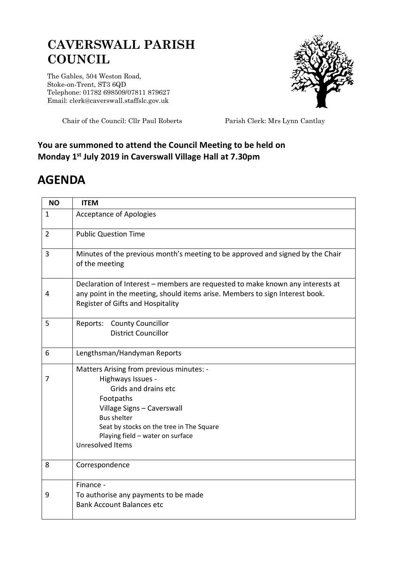## **CAVERSWALL PARISH COUNCIL**

The Gables, 504 Weston Road, Stoke-on-Trent, ST3 6QD Telephone: 01782 698509/07811 879627 Email: clerk@caverswall.staffslc.gov.uk



Chair of the Council: Cllr Paul Roberts Parish Clerk: Mrs Lynn Cantlay

## **You are summoned to attend the Council Meeting to be held on Monday 1 st July 2019 in Caverswall Village Hall at 7.30pm**

## **AGENDA**

| <b>NO</b>      | <b>ITEM</b>                                                                                                                                                                                         |
|----------------|-----------------------------------------------------------------------------------------------------------------------------------------------------------------------------------------------------|
| $\mathbf{1}$   | <b>Acceptance of Apologies</b>                                                                                                                                                                      |
| $\overline{2}$ | <b>Public Question Time</b>                                                                                                                                                                         |
| 3              | Minutes of the previous month's meeting to be approved and signed by the Chair<br>of the meeting                                                                                                    |
| 4              | Declaration of Interest – members are requested to make known any interests at<br>any point in the meeting, should items arise. Members to sign Interest book.<br>Register of Gifts and Hospitality |
| 5              | Reports: County Councillor<br><b>District Councillor</b>                                                                                                                                            |
| 6              | Lengthsman/Handyman Reports                                                                                                                                                                         |
|                | Matters Arising from previous minutes: -                                                                                                                                                            |
| 7              | Highways Issues -                                                                                                                                                                                   |
|                | Grids and drains etc                                                                                                                                                                                |
|                | Footpaths                                                                                                                                                                                           |
|                | Village Signs - Caverswall<br><b>Bus shelter</b>                                                                                                                                                    |
|                | Seat by stocks on the tree in The Square                                                                                                                                                            |
|                | Playing field - water on surface                                                                                                                                                                    |
|                | Unresolved Items                                                                                                                                                                                    |
| 8              | Correspondence                                                                                                                                                                                      |
|                | Finance -                                                                                                                                                                                           |
| 9              | To authorise any payments to be made                                                                                                                                                                |
|                | <b>Bank Account Balances etc</b>                                                                                                                                                                    |